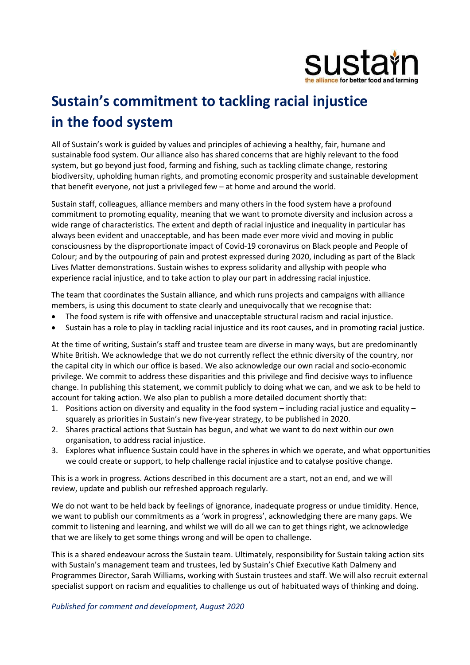

# Sustain's commitment to tackling racial injustice in the food system

All of Sustain's work is guided by values and principles of achieving a healthy, fair, humane and sustainable food system. Our alliance also has shared concerns that are highly relevant to the food system, but go beyond just food, farming and fishing, such as tackling climate change, restoring biodiversity, upholding human rights, and promoting economic prosperity and sustainable development that benefit everyone, not just a privileged few – at home and around the world.

Sustain staff, colleagues, alliance members and many others in the food system have a profound commitment to promoting equality, meaning that we want to promote diversity and inclusion across a wide range of characteristics. The extent and depth of racial injustice and inequality in particular has always been evident and unacceptable, and has been made ever more vivid and moving in public consciousness by the disproportionate impact of Covid-19 coronavirus on Black people and People of Colour; and by the outpouring of pain and protest expressed during 2020, including as part of the Black Lives Matter demonstrations. Sustain wishes to express solidarity and allyship with people who experience racial injustice, and to take action to play our part in addressing racial injustice.

The team that coordinates the Sustain alliance, and which runs projects and campaigns with alliance members, is using this document to state clearly and unequivocally that we recognise that:

- The food system is rife with offensive and unacceptable structural racism and racial injustice.
- Sustain has a role to play in tackling racial injustice and its root causes, and in promoting racial justice.

At the time of writing, Sustain's staff and trustee team are diverse in many ways, but are predominantly White British. We acknowledge that we do not currently reflect the ethnic diversity of the country, nor the capital city in which our office is based. We also acknowledge our own racial and socio-economic privilege. We commit to address these disparities and this privilege and find decisive ways to influence change. In publishing this statement, we commit publicly to doing what we can, and we ask to be held to account for taking action. We also plan to publish a more detailed document shortly that:

- 1. Positions action on diversity and equality in the food system including racial justice and equality squarely as priorities in Sustain's new five-year strategy, to be published in 2020.
- 2. Shares practical actions that Sustain has begun, and what we want to do next within our own organisation, to address racial injustice.
- 3. Explores what influence Sustain could have in the spheres in which we operate, and what opportunities we could create or support, to help challenge racial injustice and to catalyse positive change.

This is a work in progress. Actions described in this document are a start, not an end, and we will review, update and publish our refreshed approach regularly.

We do not want to be held back by feelings of ignorance, inadequate progress or undue timidity. Hence, we want to publish our commitments as a 'work in progress', acknowledging there are many gaps. We commit to listening and learning, and whilst we will do all we can to get things right, we acknowledge that we are likely to get some things wrong and will be open to challenge.

This is a shared endeavour across the Sustain team. Ultimately, responsibility for Sustain taking action sits with Sustain's management team and trustees, led by Sustain's Chief Executive Kath Dalmeny and Programmes Director, Sarah Williams, working with Sustain trustees and staff. We will also recruit external specialist support on racism and equalities to challenge us out of habituated ways of thinking and doing.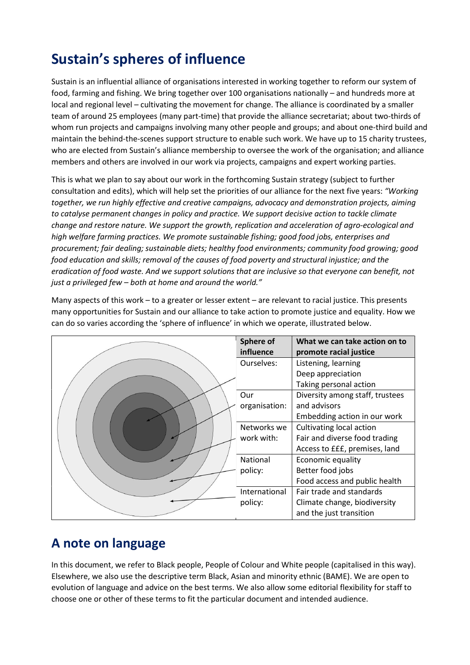## Sustain's spheres of influence

Sustain is an influential alliance of organisations interested in working together to reform our system of food, farming and fishing. We bring together over 100 organisations nationally – and hundreds more at local and regional level – cultivating the movement for change. The alliance is coordinated by a smaller team of around 25 employees (many part-time) that provide the alliance secretariat; about two-thirds of whom run projects and campaigns involving many other people and groups; and about one-third build and maintain the behind-the-scenes support structure to enable such work. We have up to 15 charity trustees, who are elected from Sustain's alliance membership to oversee the work of the organisation; and alliance members and others are involved in our work via projects, campaigns and expert working parties.

This is what we plan to say about our work in the forthcoming Sustain strategy (subject to further consultation and edits), which will help set the priorities of our alliance for the next five years: "Working together, we run highly effective and creative campaigns, advocacy and demonstration projects, aiming to catalyse permanent changes in policy and practice. We support decisive action to tackle climate change and restore nature. We support the growth, replication and acceleration of agro-ecological and high welfare farming practices. We promote sustainable fishing; good food jobs, enterprises and procurement; fair dealing; sustainable diets; healthy food environments; community food growing; good food education and skills; removal of the causes of food poverty and structural injustice; and the eradication of food waste. And we support solutions that are inclusive so that everyone can benefit, not just a privileged few – both at home and around the world."

Many aspects of this work – to a greater or lesser extent – are relevant to racial justice. This presents many opportunities for Sustain and our alliance to take action to promote justice and equality. How we can do so varies according the 'sphere of influence' in which we operate, illustrated below.

|  | Sphere of     | What we can take action on to   |
|--|---------------|---------------------------------|
|  | influence     | promote racial justice          |
|  | Ourselves:    | Listening, learning             |
|  |               | Deep appreciation               |
|  |               | Taking personal action          |
|  | Our           | Diversity among staff, trustees |
|  | organisation: | and advisors                    |
|  |               | Embedding action in our work    |
|  | Networks we   | Cultivating local action        |
|  | work with:    | Fair and diverse food trading   |
|  |               | Access to £££, premises, land   |
|  | National      | Economic equality               |
|  | policy:       | Better food jobs                |
|  |               | Food access and public health   |
|  | International | Fair trade and standards        |
|  | policy:       | Climate change, biodiversity    |
|  |               | and the just transition         |

#### A note on language

In this document, we refer to Black people, People of Colour and White people (capitalised in this way). Elsewhere, we also use the descriptive term Black, Asian and minority ethnic (BAME). We are open to evolution of language and advice on the best terms. We also allow some editorial flexibility for staff to choose one or other of these terms to fit the particular document and intended audience.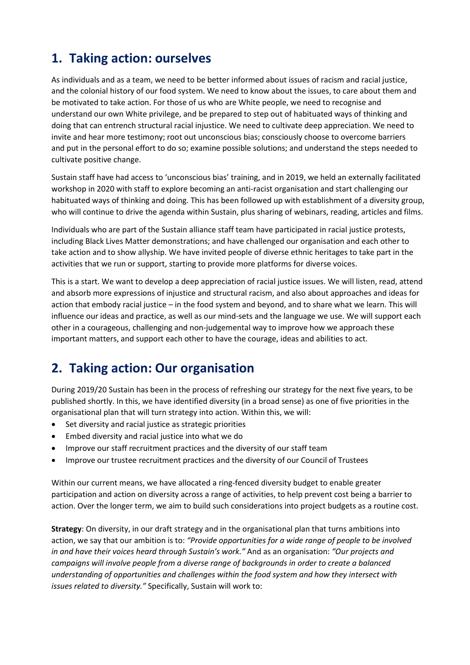### 1. Taking action: ourselves

As individuals and as a team, we need to be better informed about issues of racism and racial justice, and the colonial history of our food system. We need to know about the issues, to care about them and be motivated to take action. For those of us who are White people, we need to recognise and understand our own White privilege, and be prepared to step out of habituated ways of thinking and doing that can entrench structural racial injustice. We need to cultivate deep appreciation. We need to invite and hear more testimony; root out unconscious bias; consciously choose to overcome barriers and put in the personal effort to do so; examine possible solutions; and understand the steps needed to cultivate positive change.

Sustain staff have had access to 'unconscious bias' training, and in 2019, we held an externally facilitated workshop in 2020 with staff to explore becoming an anti-racist organisation and start challenging our habituated ways of thinking and doing. This has been followed up with establishment of a diversity group, who will continue to drive the agenda within Sustain, plus sharing of webinars, reading, articles and films.

Individuals who are part of the Sustain alliance staff team have participated in racial justice protests, including Black Lives Matter demonstrations; and have challenged our organisation and each other to take action and to show allyship. We have invited people of diverse ethnic heritages to take part in the activities that we run or support, starting to provide more platforms for diverse voices.

This is a start. We want to develop a deep appreciation of racial justice issues. We will listen, read, attend and absorb more expressions of injustice and structural racism, and also about approaches and ideas for action that embody racial justice – in the food system and beyond, and to share what we learn. This will influence our ideas and practice, as well as our mind-sets and the language we use. We will support each other in a courageous, challenging and non-judgemental way to improve how we approach these important matters, and support each other to have the courage, ideas and abilities to act.

#### 2. Taking action: Our organisation

During 2019/20 Sustain has been in the process of refreshing our strategy for the next five years, to be published shortly. In this, we have identified diversity (in a broad sense) as one of five priorities in the organisational plan that will turn strategy into action. Within this, we will:

- Set diversity and racial justice as strategic priorities
- Embed diversity and racial justice into what we do
- Improve our staff recruitment practices and the diversity of our staff team
- Improve our trustee recruitment practices and the diversity of our Council of Trustees

Within our current means, we have allocated a ring-fenced diversity budget to enable greater participation and action on diversity across a range of activities, to help prevent cost being a barrier to action. Over the longer term, we aim to build such considerations into project budgets as a routine cost.

Strategy: On diversity, in our draft strategy and in the organisational plan that turns ambitions into action, we say that our ambition is to: "Provide opportunities for a wide range of people to be involved in and have their voices heard through Sustain's work." And as an organisation: "Our projects and campaigns will involve people from a diverse range of backgrounds in order to create a balanced understanding of opportunities and challenges within the food system and how they intersect with issues related to diversity." Specifically, Sustain will work to: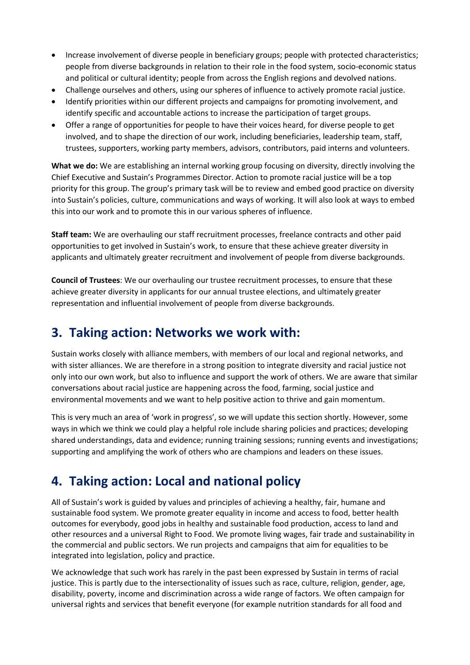- Increase involvement of diverse people in beneficiary groups; people with protected characteristics; people from diverse backgrounds in relation to their role in the food system, socio-economic status and political or cultural identity; people from across the English regions and devolved nations.
- Challenge ourselves and others, using our spheres of influence to actively promote racial justice.
- Identify priorities within our different projects and campaigns for promoting involvement, and identify specific and accountable actions to increase the participation of target groups.
- Offer a range of opportunities for people to have their voices heard, for diverse people to get involved, and to shape the direction of our work, including beneficiaries, leadership team, staff, trustees, supporters, working party members, advisors, contributors, paid interns and volunteers.

What we do: We are establishing an internal working group focusing on diversity, directly involving the Chief Executive and Sustain's Programmes Director. Action to promote racial justice will be a top priority for this group. The group's primary task will be to review and embed good practice on diversity into Sustain's policies, culture, communications and ways of working. It will also look at ways to embed this into our work and to promote this in our various spheres of influence.

Staff team: We are overhauling our staff recruitment processes, freelance contracts and other paid opportunities to get involved in Sustain's work, to ensure that these achieve greater diversity in applicants and ultimately greater recruitment and involvement of people from diverse backgrounds.

Council of Trustees: We our overhauling our trustee recruitment processes, to ensure that these achieve greater diversity in applicants for our annual trustee elections, and ultimately greater representation and influential involvement of people from diverse backgrounds.

#### 3. Taking action: Networks we work with:

Sustain works closely with alliance members, with members of our local and regional networks, and with sister alliances. We are therefore in a strong position to integrate diversity and racial justice not only into our own work, but also to influence and support the work of others. We are aware that similar conversations about racial justice are happening across the food, farming, social justice and environmental movements and we want to help positive action to thrive and gain momentum.

This is very much an area of 'work in progress', so we will update this section shortly. However, some ways in which we think we could play a helpful role include sharing policies and practices; developing shared understandings, data and evidence; running training sessions; running events and investigations; supporting and amplifying the work of others who are champions and leaders on these issues.

#### 4. Taking action: Local and national policy

All of Sustain's work is guided by values and principles of achieving a healthy, fair, humane and sustainable food system. We promote greater equality in income and access to food, better health outcomes for everybody, good jobs in healthy and sustainable food production, access to land and other resources and a universal Right to Food. We promote living wages, fair trade and sustainability in the commercial and public sectors. We run projects and campaigns that aim for equalities to be integrated into legislation, policy and practice.

We acknowledge that such work has rarely in the past been expressed by Sustain in terms of racial justice. This is partly due to the intersectionality of issues such as race, culture, religion, gender, age, disability, poverty, income and discrimination across a wide range of factors. We often campaign for universal rights and services that benefit everyone (for example nutrition standards for all food and